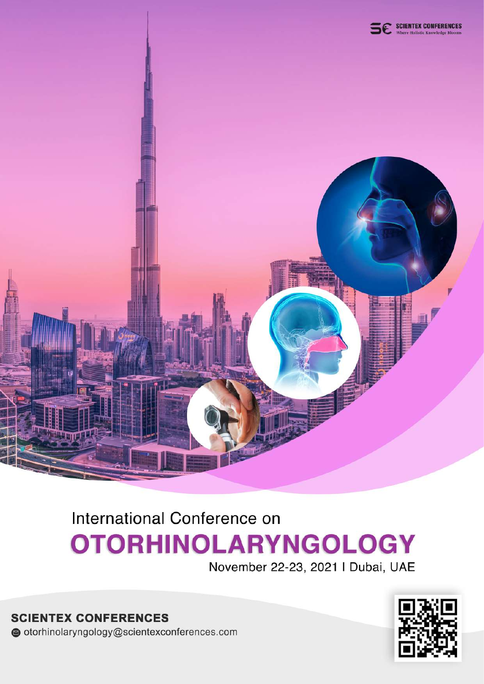

## International Conference on **OTORHINOLARYNGOLOGY**

November 22-23, 2021 | Dubai, UAE

**SCIENTEX CONFERENCES** otorhinolaryngology@scientexconferences.com

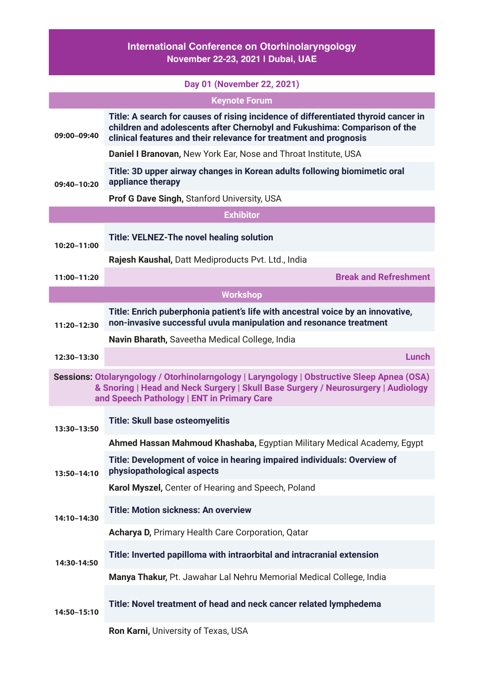## **International Conference on Otorhinolaryngology November 22-23, 2021 | Dubai, UAE**

|                                                                                                                                                                                                                                | Day 01 (November 22, 2021)                                                                                                                                                                                                           |  |
|--------------------------------------------------------------------------------------------------------------------------------------------------------------------------------------------------------------------------------|--------------------------------------------------------------------------------------------------------------------------------------------------------------------------------------------------------------------------------------|--|
| <b>Keynote Forum</b>                                                                                                                                                                                                           |                                                                                                                                                                                                                                      |  |
| 09:00-09:40                                                                                                                                                                                                                    | Title: A search for causes of rising incidence of differentiated thyroid cancer in<br>children and adolescents after Chernobyl and Fukushima: Comparison of the<br>clinical features and their relevance for treatment and prognosis |  |
|                                                                                                                                                                                                                                | Daniel I Branovan, New York Ear, Nose and Throat Institute, USA                                                                                                                                                                      |  |
| 09:40-10:20                                                                                                                                                                                                                    | Title: 3D upper airway changes in Korean adults following biomimetic oral<br>appliance therapy                                                                                                                                       |  |
|                                                                                                                                                                                                                                | <b>Prof G Dave Singh, Stanford University, USA</b>                                                                                                                                                                                   |  |
|                                                                                                                                                                                                                                | <b>Exhibitor</b>                                                                                                                                                                                                                     |  |
| 10:20-11:00                                                                                                                                                                                                                    | <b>Title: VELNEZ-The novel healing solution</b>                                                                                                                                                                                      |  |
|                                                                                                                                                                                                                                | Rajesh Kaushal, Datt Mediproducts Pvt. Ltd., India                                                                                                                                                                                   |  |
| 11:00-11:20                                                                                                                                                                                                                    | <b>Break and Refreshment</b>                                                                                                                                                                                                         |  |
|                                                                                                                                                                                                                                | <b>Workshop</b>                                                                                                                                                                                                                      |  |
| 11:20-12:30                                                                                                                                                                                                                    | Title: Enrich puberphonia patient's life with ancestral voice by an innovative,<br>non-invasive successful uvula manipulation and resonance treatment                                                                                |  |
|                                                                                                                                                                                                                                | Navin Bharath, Saveetha Medical College, India                                                                                                                                                                                       |  |
| 12:30-13:30                                                                                                                                                                                                                    | <b>Lunch</b>                                                                                                                                                                                                                         |  |
| Sessions: Otolaryngology / Otorhinolarngology   Laryngology   Obstructive Sleep Apnea (OSA)<br>& Snoring   Head and Neck Surgery   Skull Base Surgery / Neurosurgery   Audiology<br>and Speech Pathology   ENT in Primary Care |                                                                                                                                                                                                                                      |  |
| 13:30-13:50                                                                                                                                                                                                                    | <b>Title: Skull base osteomyelitis</b>                                                                                                                                                                                               |  |
|                                                                                                                                                                                                                                | Ahmed Hassan Mahmoud Khashaba, Egyptian Military Medical Academy, Egypt                                                                                                                                                              |  |
| 13:50-14:10                                                                                                                                                                                                                    | Title: Development of voice in hearing impaired individuals: Overview of<br>physiopathological aspects                                                                                                                               |  |
|                                                                                                                                                                                                                                | Karol Myszel, Center of Hearing and Speech, Poland                                                                                                                                                                                   |  |
| 14:10-14:30                                                                                                                                                                                                                    | <b>Title: Motion sickness: An overview</b>                                                                                                                                                                                           |  |
|                                                                                                                                                                                                                                | Acharya D, Primary Health Care Corporation, Qatar                                                                                                                                                                                    |  |
| 14:30-14:50                                                                                                                                                                                                                    | Title: Inverted papilloma with intraorbital and intracranial extension                                                                                                                                                               |  |
|                                                                                                                                                                                                                                | Manya Thakur, Pt. Jawahar Lal Nehru Memorial Medical College, India                                                                                                                                                                  |  |
| 14:50-15:10                                                                                                                                                                                                                    | Title: Novel treatment of head and neck cancer related lymphedema                                                                                                                                                                    |  |
|                                                                                                                                                                                                                                | Ron Karni, University of Texas, USA                                                                                                                                                                                                  |  |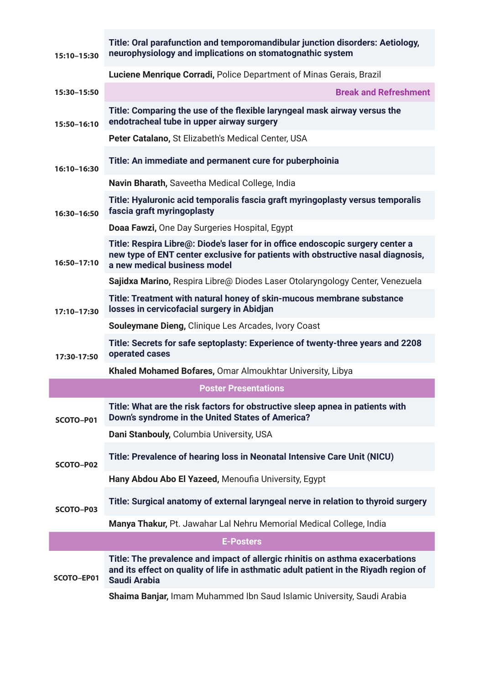| 15:10-15:30 | Title: Oral parafunction and temporomandibular junction disorders: Aetiology,<br>neurophysiology and implications on stomatognathic system                                                        |
|-------------|---------------------------------------------------------------------------------------------------------------------------------------------------------------------------------------------------|
|             | Luciene Menrique Corradi, Police Department of Minas Gerais, Brazil                                                                                                                               |
| 15:30-15:50 | <b>Break and Refreshment</b>                                                                                                                                                                      |
| 15:50-16:10 | Title: Comparing the use of the flexible laryngeal mask airway versus the<br>endotracheal tube in upper airway surgery                                                                            |
|             | Peter Catalano, St Elizabeth's Medical Center, USA                                                                                                                                                |
| 16:10-16:30 | Title: An immediate and permanent cure for puberphoinia                                                                                                                                           |
|             | Navin Bharath, Saveetha Medical College, India                                                                                                                                                    |
| 16:30-16:50 | Title: Hyaluronic acid temporalis fascia graft myringoplasty versus temporalis<br>fascia graft myringoplasty                                                                                      |
|             | Doaa Fawzi, One Day Surgeries Hospital, Egypt                                                                                                                                                     |
| 16:50-17:10 | Title: Respira Libre@: Diode's laser for in office endoscopic surgery center a<br>new type of ENT center exclusive for patients with obstructive nasal diagnosis,<br>a new medical business model |
|             | Sajidxa Marino, Respira Libre@ Diodes Laser Otolaryngology Center, Venezuela                                                                                                                      |
| 17:10-17:30 | Title: Treatment with natural honey of skin-mucous membrane substance<br>losses in cervicofacial surgery in Abidjan                                                                               |
|             | Souleymane Dieng, Clinique Les Arcades, Ivory Coast                                                                                                                                               |
| 17:30-17:50 | Title: Secrets for safe septoplasty: Experience of twenty-three years and 2208<br>operated cases                                                                                                  |
|             | Khaled Mohamed Bofares, Omar Almoukhtar University, Libya                                                                                                                                         |
|             | <b>Poster Presentations</b>                                                                                                                                                                       |
| SCOTO-P01   | Title: What are the risk factors for obstructive sleep apnea in patients with<br>Down's syndrome in the United States of America?                                                                 |
|             | Dani Stanbouly, Columbia University, USA                                                                                                                                                          |
| SCOTO-P02   | Title: Prevalence of hearing loss in Neonatal Intensive Care Unit (NICU)                                                                                                                          |
|             | Hany Abdou Abo El Yazeed, Menoufia University, Egypt                                                                                                                                              |
| SCOTO-P03   | Title: Surgical anatomy of external laryngeal nerve in relation to thyroid surgery                                                                                                                |
|             | Manya Thakur, Pt. Jawahar Lal Nehru Memorial Medical College, India                                                                                                                               |
|             | <b>E-Posters</b>                                                                                                                                                                                  |
| SCOTO-EP01  | Title: The prevalence and impact of allergic rhinitis on asthma exacerbations<br>and its effect on quality of life in asthmatic adult patient in the Riyadh region of<br><b>Saudi Arabia</b>      |
|             | Shaima Banjar, Imam Muhammed Ibn Saud Islamic University, Saudi Arabia                                                                                                                            |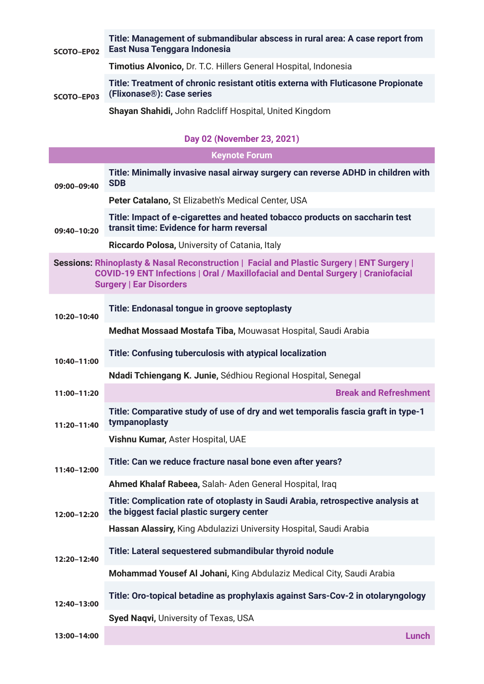| SCOTO-EP02 | Title: Management of submandibular abscess in rural area: A case report from<br>East Nusa Tenggara Indonesia               |
|------------|----------------------------------------------------------------------------------------------------------------------------|
|            | <b>Timotius Alvonico, Dr. T.C. Hillers General Hospital, Indonesia</b>                                                     |
| SCOTO-EP03 | Title: Treatment of chronic resistant otitis externa with Fluticasone Propionate<br>(Flixonase <sup>®</sup> ): Case series |
|            | <b>Shayan Shahidi, John Radcliff Hospital, United Kingdom</b>                                                              |

## **Day 02 (November 23, 2021)**

| <b>Keynote Forum</b>                                                                                                                                                                                            |                                                                                                                               |  |
|-----------------------------------------------------------------------------------------------------------------------------------------------------------------------------------------------------------------|-------------------------------------------------------------------------------------------------------------------------------|--|
| 09:00-09:40                                                                                                                                                                                                     | Title: Minimally invasive nasal airway surgery can reverse ADHD in children with<br><b>SDB</b>                                |  |
|                                                                                                                                                                                                                 | Peter Catalano, St Elizabeth's Medical Center, USA                                                                            |  |
| 09:40-10:20                                                                                                                                                                                                     | Title: Impact of e-cigarettes and heated tobacco products on saccharin test<br>transit time: Evidence for harm reversal       |  |
|                                                                                                                                                                                                                 | Riccardo Polosa, University of Catania, Italy                                                                                 |  |
| Sessions: Rhinoplasty & Nasal Reconstruction   Facial and Plastic Surgery   ENT Surgery  <br>COVID-19 ENT Infections   Oral / Maxillofacial and Dental Surgery   Craniofacial<br><b>Surgery   Ear Disorders</b> |                                                                                                                               |  |
| 10:20-10:40                                                                                                                                                                                                     | Title: Endonasal tongue in groove septoplasty                                                                                 |  |
|                                                                                                                                                                                                                 | Medhat Mossaad Mostafa Tiba, Mouwasat Hospital, Saudi Arabia                                                                  |  |
| 10:40-11:00                                                                                                                                                                                                     | Title: Confusing tuberculosis with atypical localization                                                                      |  |
|                                                                                                                                                                                                                 | Ndadi Tchiengang K. Junie, Sédhiou Regional Hospital, Senegal                                                                 |  |
| 11:00-11:20                                                                                                                                                                                                     | <b>Break and Refreshment</b>                                                                                                  |  |
| 11:20-11:40                                                                                                                                                                                                     | Title: Comparative study of use of dry and wet temporalis fascia graft in type-1<br>tympanoplasty                             |  |
|                                                                                                                                                                                                                 | Vishnu Kumar, Aster Hospital, UAE                                                                                             |  |
| 11:40-12:00                                                                                                                                                                                                     | Title: Can we reduce fracture nasal bone even after years?                                                                    |  |
|                                                                                                                                                                                                                 | Ahmed Khalaf Rabeea, Salah-Aden General Hospital, Iraq                                                                        |  |
| 12:00–12:20                                                                                                                                                                                                     | Title: Complication rate of otoplasty in Saudi Arabia, retrospective analysis at<br>the biggest facial plastic surgery center |  |
|                                                                                                                                                                                                                 | Hassan Alassiry, King Abdulazizi University Hospital, Saudi Arabia                                                            |  |
| 12:20-12:40                                                                                                                                                                                                     | Title: Lateral sequestered submandibular thyroid nodule                                                                       |  |
|                                                                                                                                                                                                                 | Mohammad Yousef Al Johani, King Abdulaziz Medical City, Saudi Arabia                                                          |  |
| 12:40-13:00                                                                                                                                                                                                     | Title: Oro-topical betadine as prophylaxis against Sars-Cov-2 in otolaryngology                                               |  |
|                                                                                                                                                                                                                 | Syed Naqvi, University of Texas, USA                                                                                          |  |